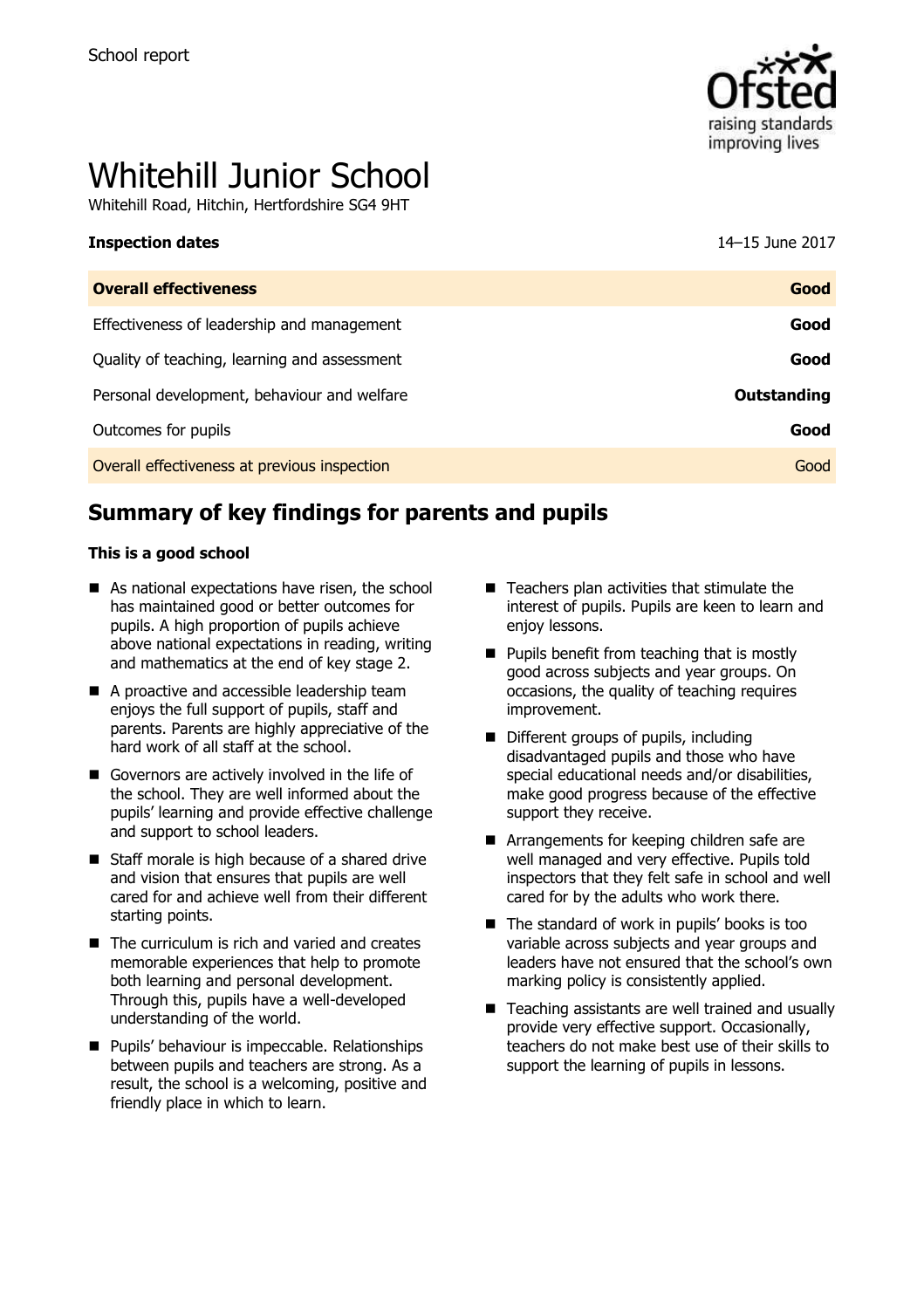

# Whitehill Junior School

Whitehill Road, Hitchin, Hertfordshire SG4 9HT

| <b>Overall effectiveness</b>                 | Good               |
|----------------------------------------------|--------------------|
| Effectiveness of leadership and management   | Good               |
| Quality of teaching, learning and assessment | Good               |
| Personal development, behaviour and welfare  | <b>Outstanding</b> |
| Outcomes for pupils                          | Good               |
| Overall effectiveness at previous inspection | Good               |

# **Summary of key findings for parents and pupils**

#### **This is a good school**

- As national expectations have risen, the school has maintained good or better outcomes for pupils. A high proportion of pupils achieve above national expectations in reading, writing and mathematics at the end of key stage 2.
- A proactive and accessible leadership team enjoys the full support of pupils, staff and parents. Parents are highly appreciative of the hard work of all staff at the school.
- Governors are actively involved in the life of the school. They are well informed about the pupils' learning and provide effective challenge and support to school leaders.
- Staff morale is high because of a shared drive and vision that ensures that pupils are well cared for and achieve well from their different starting points.
- $\blacksquare$  The curriculum is rich and varied and creates memorable experiences that help to promote both learning and personal development. Through this, pupils have a well-developed understanding of the world.
- **Pupils' behaviour is impeccable. Relationships** between pupils and teachers are strong. As a result, the school is a welcoming, positive and friendly place in which to learn.
- $\blacksquare$  Teachers plan activities that stimulate the interest of pupils. Pupils are keen to learn and enjoy lessons.
- $\blacksquare$  Pupils benefit from teaching that is mostly good across subjects and year groups. On occasions, the quality of teaching requires improvement.
- Different groups of pupils, including disadvantaged pupils and those who have special educational needs and/or disabilities, make good progress because of the effective support they receive.
- **E** Arrangements for keeping children safe are well managed and very effective. Pupils told inspectors that they felt safe in school and well cared for by the adults who work there.
- $\blacksquare$  The standard of work in pupils' books is too variable across subjects and year groups and leaders have not ensured that the school's own marking policy is consistently applied.
- $\blacksquare$  Teaching assistants are well trained and usually provide very effective support. Occasionally, teachers do not make best use of their skills to support the learning of pupils in lessons.

**Inspection dates** 14–15 June 2017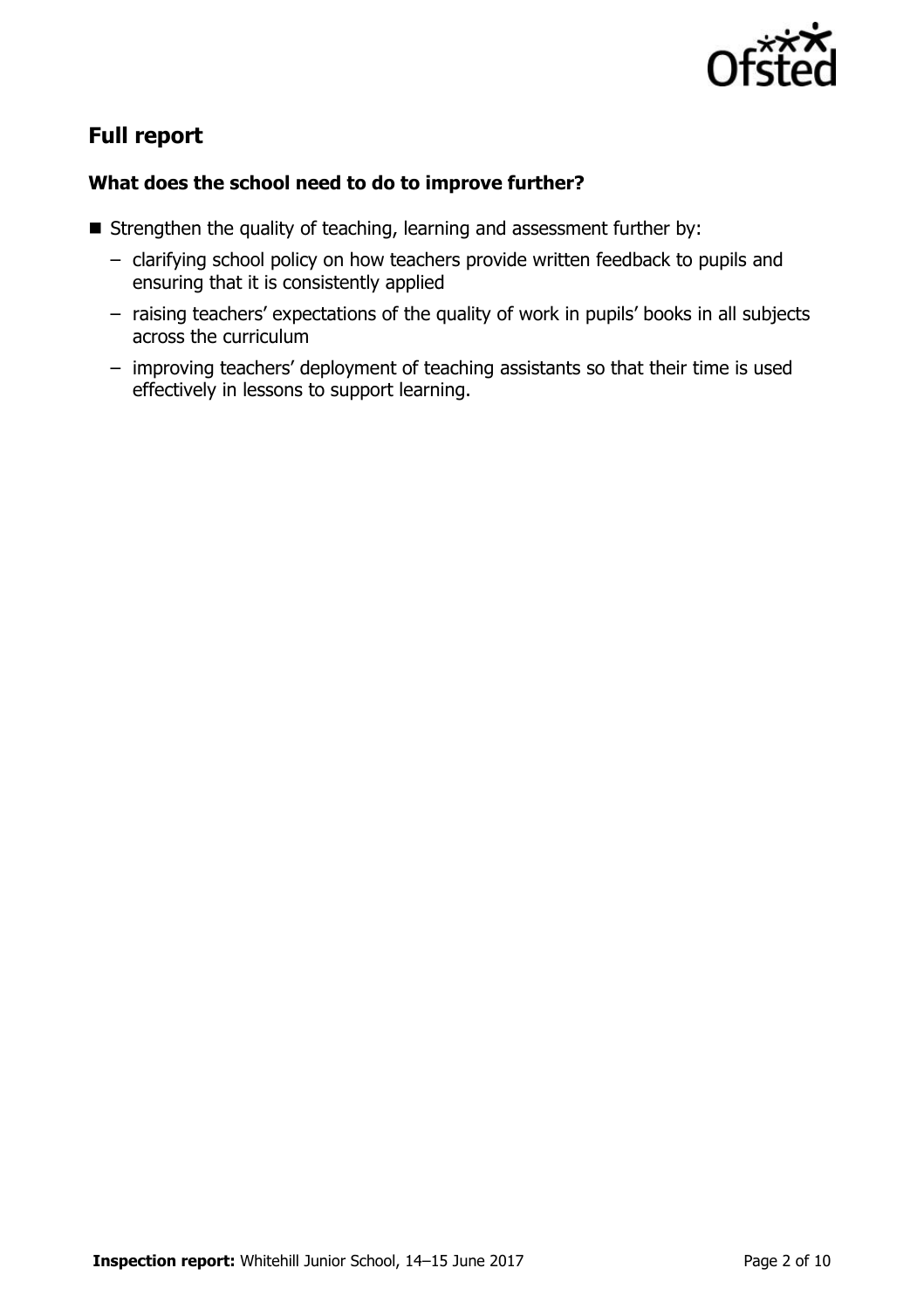

# **Full report**

### **What does the school need to do to improve further?**

- $\blacksquare$  Strengthen the quality of teaching, learning and assessment further by:
	- clarifying school policy on how teachers provide written feedback to pupils and ensuring that it is consistently applied
	- raising teachers' expectations of the quality of work in pupils' books in all subjects across the curriculum
	- improving teachers' deployment of teaching assistants so that their time is used effectively in lessons to support learning.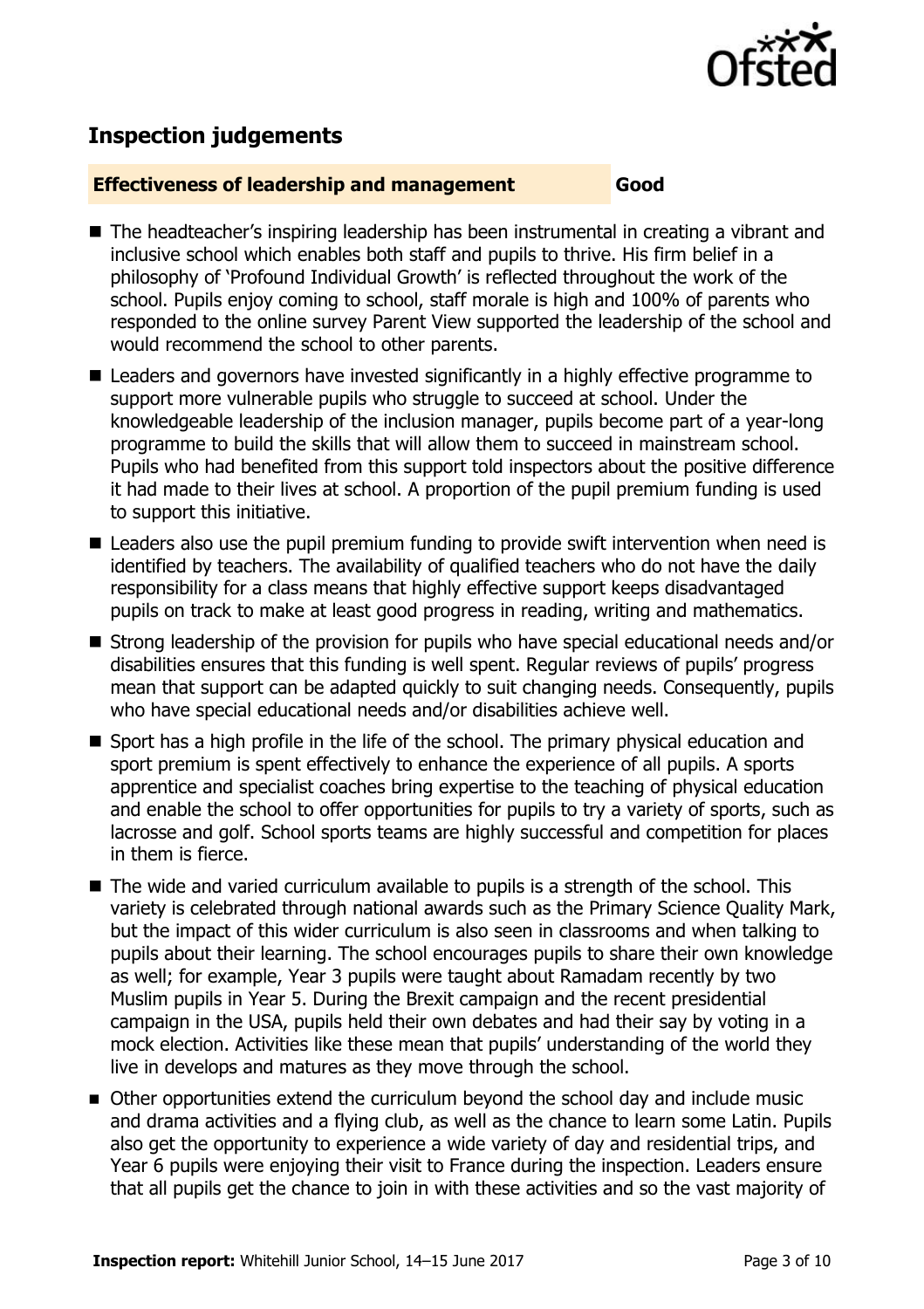

# **Inspection judgements**

#### **Effectiveness of leadership and management Good**

- The headteacher's inspiring leadership has been instrumental in creating a vibrant and inclusive school which enables both staff and pupils to thrive. His firm belief in a philosophy of 'Profound Individual Growth' is reflected throughout the work of the school. Pupils enjoy coming to school, staff morale is high and 100% of parents who responded to the online survey Parent View supported the leadership of the school and would recommend the school to other parents.
- Leaders and governors have invested significantly in a highly effective programme to support more vulnerable pupils who struggle to succeed at school. Under the knowledgeable leadership of the inclusion manager, pupils become part of a year-long programme to build the skills that will allow them to succeed in mainstream school. Pupils who had benefited from this support told inspectors about the positive difference it had made to their lives at school. A proportion of the pupil premium funding is used to support this initiative.
- Leaders also use the pupil premium funding to provide swift intervention when need is identified by teachers. The availability of qualified teachers who do not have the daily responsibility for a class means that highly effective support keeps disadvantaged pupils on track to make at least good progress in reading, writing and mathematics.
- Strong leadership of the provision for pupils who have special educational needs and/or disabilities ensures that this funding is well spent. Regular reviews of pupils' progress mean that support can be adapted quickly to suit changing needs. Consequently, pupils who have special educational needs and/or disabilities achieve well.
- Sport has a high profile in the life of the school. The primary physical education and sport premium is spent effectively to enhance the experience of all pupils. A sports apprentice and specialist coaches bring expertise to the teaching of physical education and enable the school to offer opportunities for pupils to try a variety of sports, such as lacrosse and golf. School sports teams are highly successful and competition for places in them is fierce.
- The wide and varied curriculum available to pupils is a strength of the school. This variety is celebrated through national awards such as the Primary Science Quality Mark, but the impact of this wider curriculum is also seen in classrooms and when talking to pupils about their learning. The school encourages pupils to share their own knowledge as well; for example, Year 3 pupils were taught about Ramadam recently by two Muslim pupils in Year 5. During the Brexit campaign and the recent presidential campaign in the USA, pupils held their own debates and had their say by voting in a mock election. Activities like these mean that pupils' understanding of the world they live in develops and matures as they move through the school.
- Other opportunities extend the curriculum beyond the school day and include music and drama activities and a flying club, as well as the chance to learn some Latin. Pupils also get the opportunity to experience a wide variety of day and residential trips, and Year 6 pupils were enjoying their visit to France during the inspection. Leaders ensure that all pupils get the chance to join in with these activities and so the vast majority of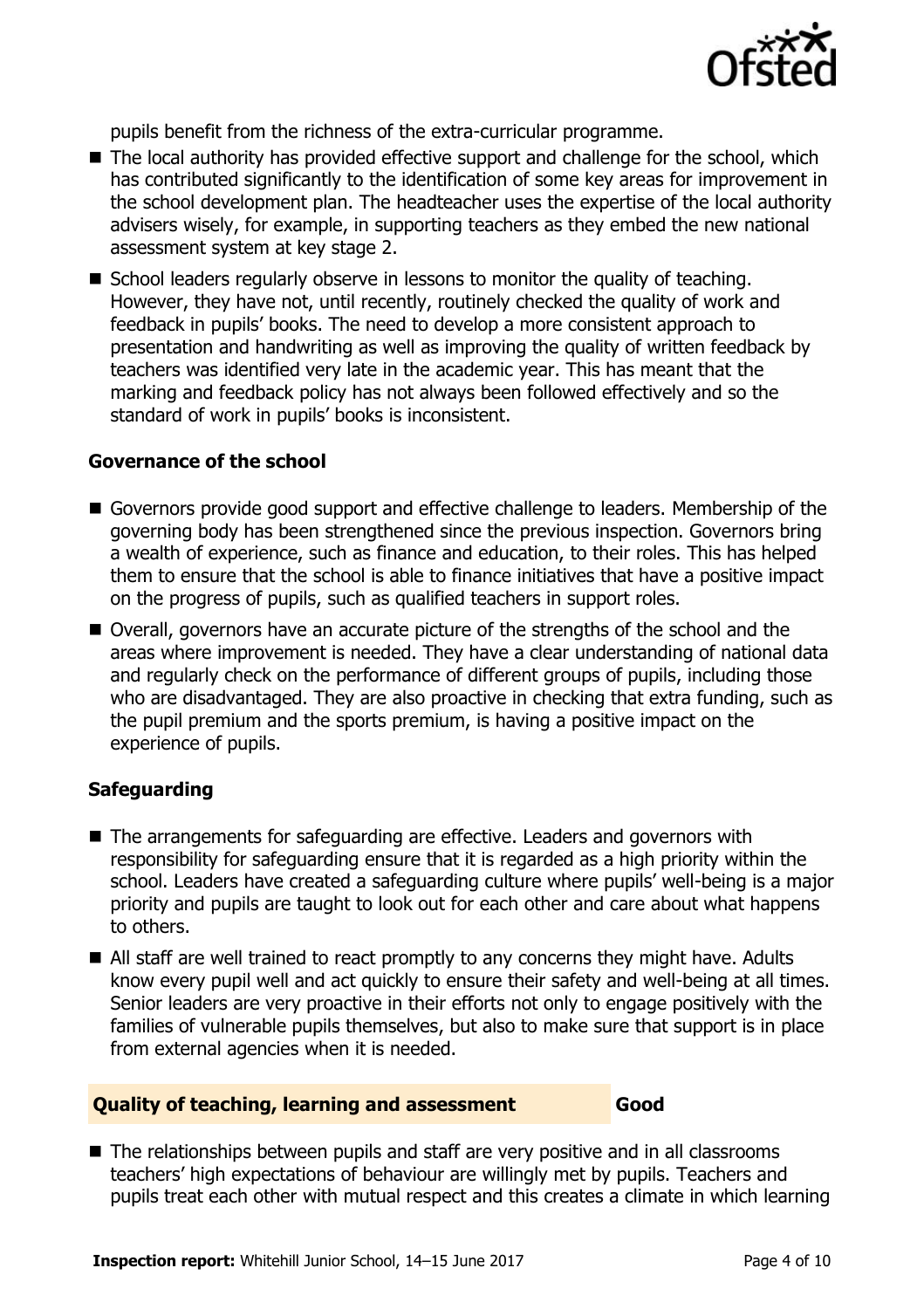

pupils benefit from the richness of the extra-curricular programme.

- The local authority has provided effective support and challenge for the school, which has contributed significantly to the identification of some key areas for improvement in the school development plan. The headteacher uses the expertise of the local authority advisers wisely, for example, in supporting teachers as they embed the new national assessment system at key stage 2.
- School leaders regularly observe in lessons to monitor the quality of teaching. However, they have not, until recently, routinely checked the quality of work and feedback in pupils' books. The need to develop a more consistent approach to presentation and handwriting as well as improving the quality of written feedback by teachers was identified very late in the academic year. This has meant that the marking and feedback policy has not always been followed effectively and so the standard of work in pupils' books is inconsistent.

#### **Governance of the school**

- Governors provide good support and effective challenge to leaders. Membership of the governing body has been strengthened since the previous inspection. Governors bring a wealth of experience, such as finance and education, to their roles. This has helped them to ensure that the school is able to finance initiatives that have a positive impact on the progress of pupils, such as qualified teachers in support roles.
- Overall, governors have an accurate picture of the strengths of the school and the areas where improvement is needed. They have a clear understanding of national data and regularly check on the performance of different groups of pupils, including those who are disadvantaged. They are also proactive in checking that extra funding, such as the pupil premium and the sports premium, is having a positive impact on the experience of pupils.

### **Safeguarding**

- The arrangements for safeguarding are effective. Leaders and governors with responsibility for safeguarding ensure that it is regarded as a high priority within the school. Leaders have created a safeguarding culture where pupils' well-being is a major priority and pupils are taught to look out for each other and care about what happens to others.
- All staff are well trained to react promptly to any concerns they might have. Adults know every pupil well and act quickly to ensure their safety and well-being at all times. Senior leaders are very proactive in their efforts not only to engage positively with the families of vulnerable pupils themselves, but also to make sure that support is in place from external agencies when it is needed.

#### **Quality of teaching, learning and assessment Good**

■ The relationships between pupils and staff are very positive and in all classrooms teachers' high expectations of behaviour are willingly met by pupils. Teachers and pupils treat each other with mutual respect and this creates a climate in which learning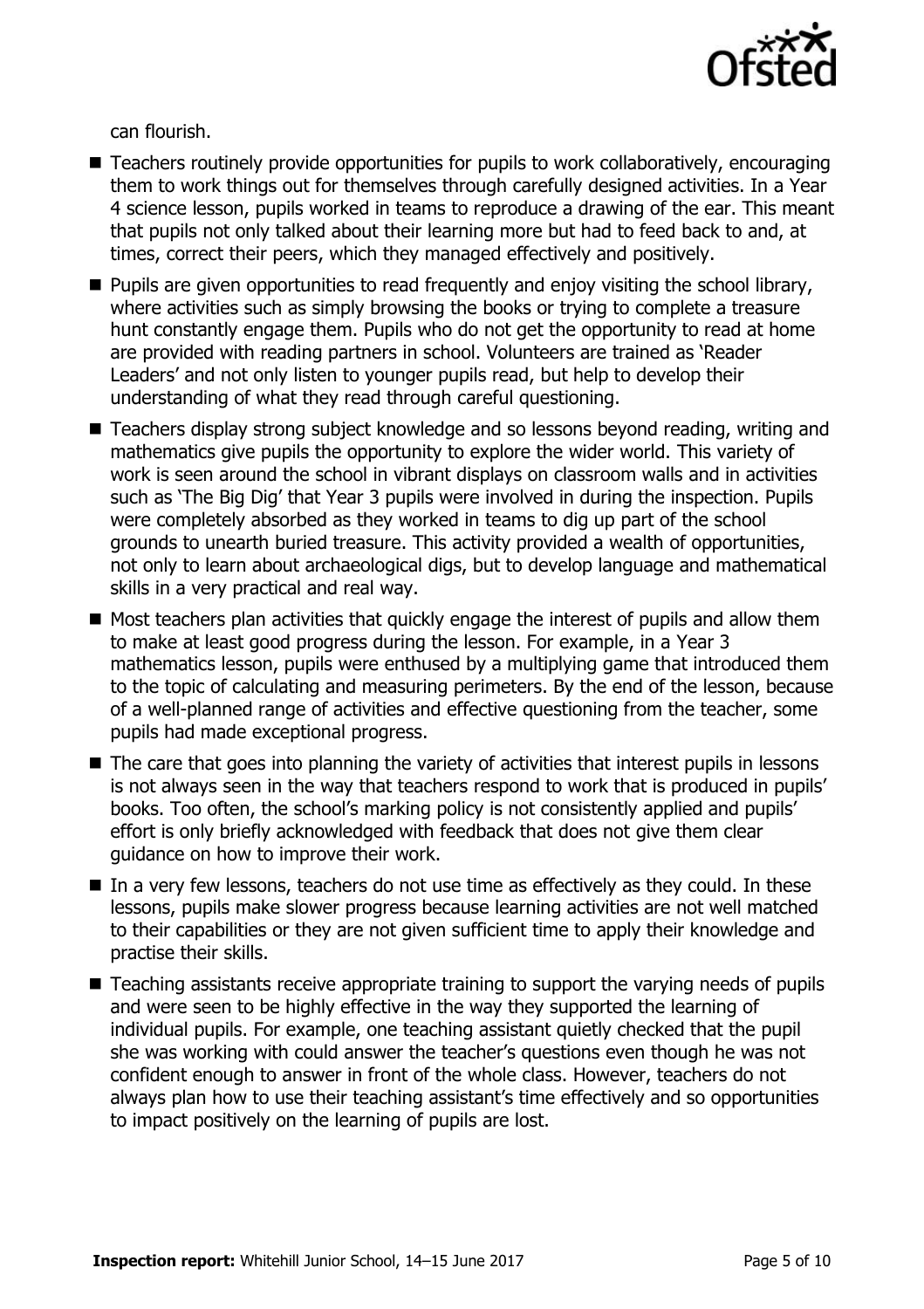

can flourish.

- Teachers routinely provide opportunities for pupils to work collaboratively, encouraging them to work things out for themselves through carefully designed activities. In a Year 4 science lesson, pupils worked in teams to reproduce a drawing of the ear. This meant that pupils not only talked about their learning more but had to feed back to and, at times, correct their peers, which they managed effectively and positively.
- **Pupils are given opportunities to read frequently and enjoy visiting the school library,** where activities such as simply browsing the books or trying to complete a treasure hunt constantly engage them. Pupils who do not get the opportunity to read at home are provided with reading partners in school. Volunteers are trained as 'Reader Leaders' and not only listen to younger pupils read, but help to develop their understanding of what they read through careful questioning.
- Teachers display strong subject knowledge and so lessons beyond reading, writing and mathematics give pupils the opportunity to explore the wider world. This variety of work is seen around the school in vibrant displays on classroom walls and in activities such as 'The Big Dig' that Year 3 pupils were involved in during the inspection. Pupils were completely absorbed as they worked in teams to dig up part of the school grounds to unearth buried treasure. This activity provided a wealth of opportunities, not only to learn about archaeological digs, but to develop language and mathematical skills in a very practical and real way.
- $\blacksquare$  Most teachers plan activities that quickly engage the interest of pupils and allow them to make at least good progress during the lesson. For example, in a Year 3 mathematics lesson, pupils were enthused by a multiplying game that introduced them to the topic of calculating and measuring perimeters. By the end of the lesson, because of a well-planned range of activities and effective questioning from the teacher, some pupils had made exceptional progress.
- The care that goes into planning the variety of activities that interest pupils in lessons is not always seen in the way that teachers respond to work that is produced in pupils' books. Too often, the school's marking policy is not consistently applied and pupils' effort is only briefly acknowledged with feedback that does not give them clear guidance on how to improve their work.
- $\blacksquare$  In a very few lessons, teachers do not use time as effectively as they could. In these lessons, pupils make slower progress because learning activities are not well matched to their capabilities or they are not given sufficient time to apply their knowledge and practise their skills.
- Teaching assistants receive appropriate training to support the varying needs of pupils and were seen to be highly effective in the way they supported the learning of individual pupils. For example, one teaching assistant quietly checked that the pupil she was working with could answer the teacher's questions even though he was not confident enough to answer in front of the whole class. However, teachers do not always plan how to use their teaching assistant's time effectively and so opportunities to impact positively on the learning of pupils are lost.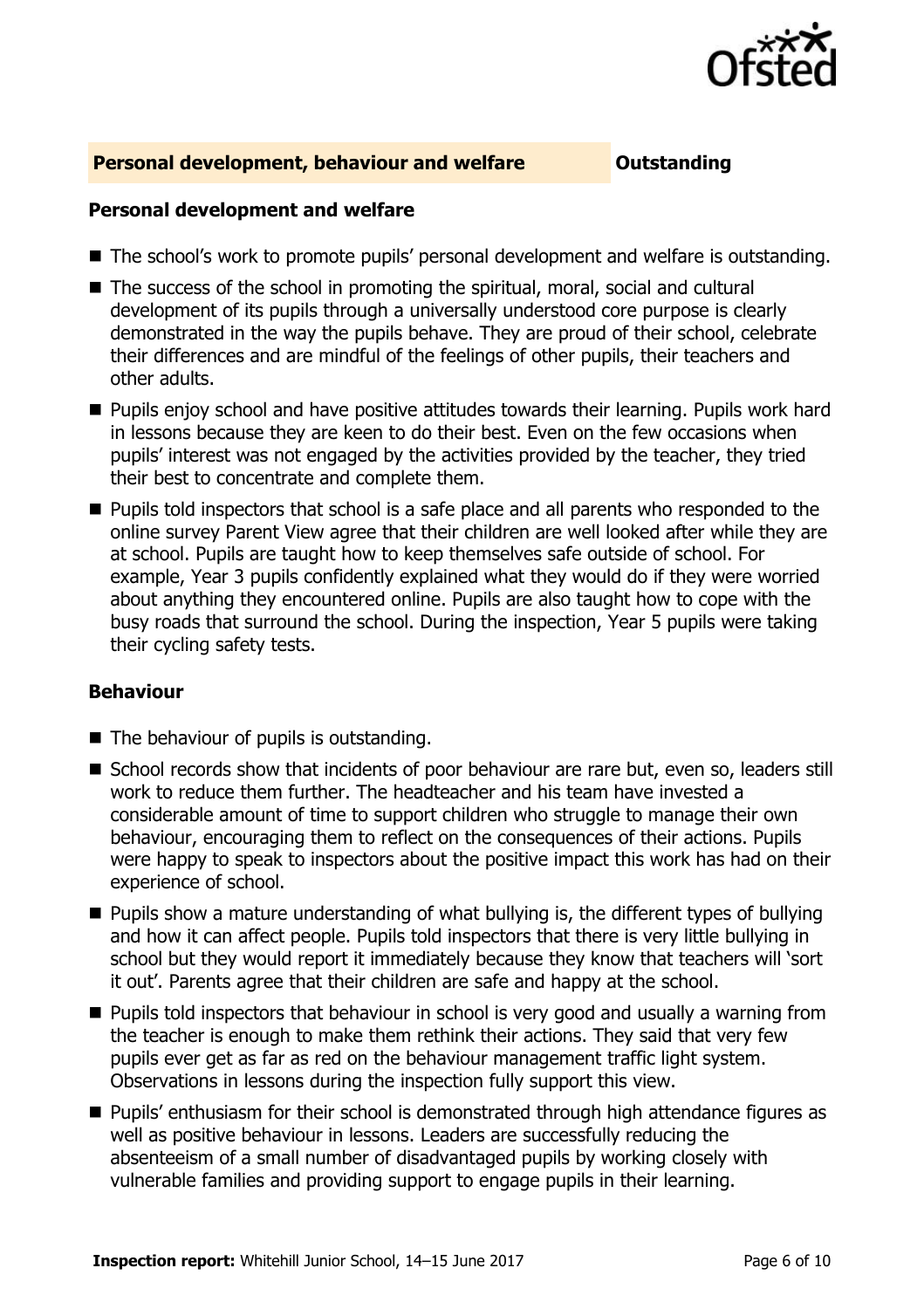

#### **Personal development, behaviour and welfare <b>COULD** Dutstanding

#### **Personal development and welfare**

- The school's work to promote pupils' personal development and welfare is outstanding.
- The success of the school in promoting the spiritual, moral, social and cultural development of its pupils through a universally understood core purpose is clearly demonstrated in the way the pupils behave. They are proud of their school, celebrate their differences and are mindful of the feelings of other pupils, their teachers and other adults.
- **Pupils enjoy school and have positive attitudes towards their learning. Pupils work hard** in lessons because they are keen to do their best. Even on the few occasions when pupils' interest was not engaged by the activities provided by the teacher, they tried their best to concentrate and complete them.
- **Pupils told inspectors that school is a safe place and all parents who responded to the** online survey Parent View agree that their children are well looked after while they are at school. Pupils are taught how to keep themselves safe outside of school. For example, Year 3 pupils confidently explained what they would do if they were worried about anything they encountered online. Pupils are also taught how to cope with the busy roads that surround the school. During the inspection, Year 5 pupils were taking their cycling safety tests.

#### **Behaviour**

- $\blacksquare$  The behaviour of pupils is outstanding.
- School records show that incidents of poor behaviour are rare but, even so, leaders still work to reduce them further. The headteacher and his team have invested a considerable amount of time to support children who struggle to manage their own behaviour, encouraging them to reflect on the consequences of their actions. Pupils were happy to speak to inspectors about the positive impact this work has had on their experience of school.
- **Pupils show a mature understanding of what bullying is, the different types of bullying** and how it can affect people. Pupils told inspectors that there is very little bullying in school but they would report it immediately because they know that teachers will 'sort it out'. Parents agree that their children are safe and happy at the school.
- **Pupils told inspectors that behaviour in school is very good and usually a warning from** the teacher is enough to make them rethink their actions. They said that very few pupils ever get as far as red on the behaviour management traffic light system. Observations in lessons during the inspection fully support this view.
- **Pupils'** enthusiasm for their school is demonstrated through high attendance figures as well as positive behaviour in lessons. Leaders are successfully reducing the absenteeism of a small number of disadvantaged pupils by working closely with vulnerable families and providing support to engage pupils in their learning.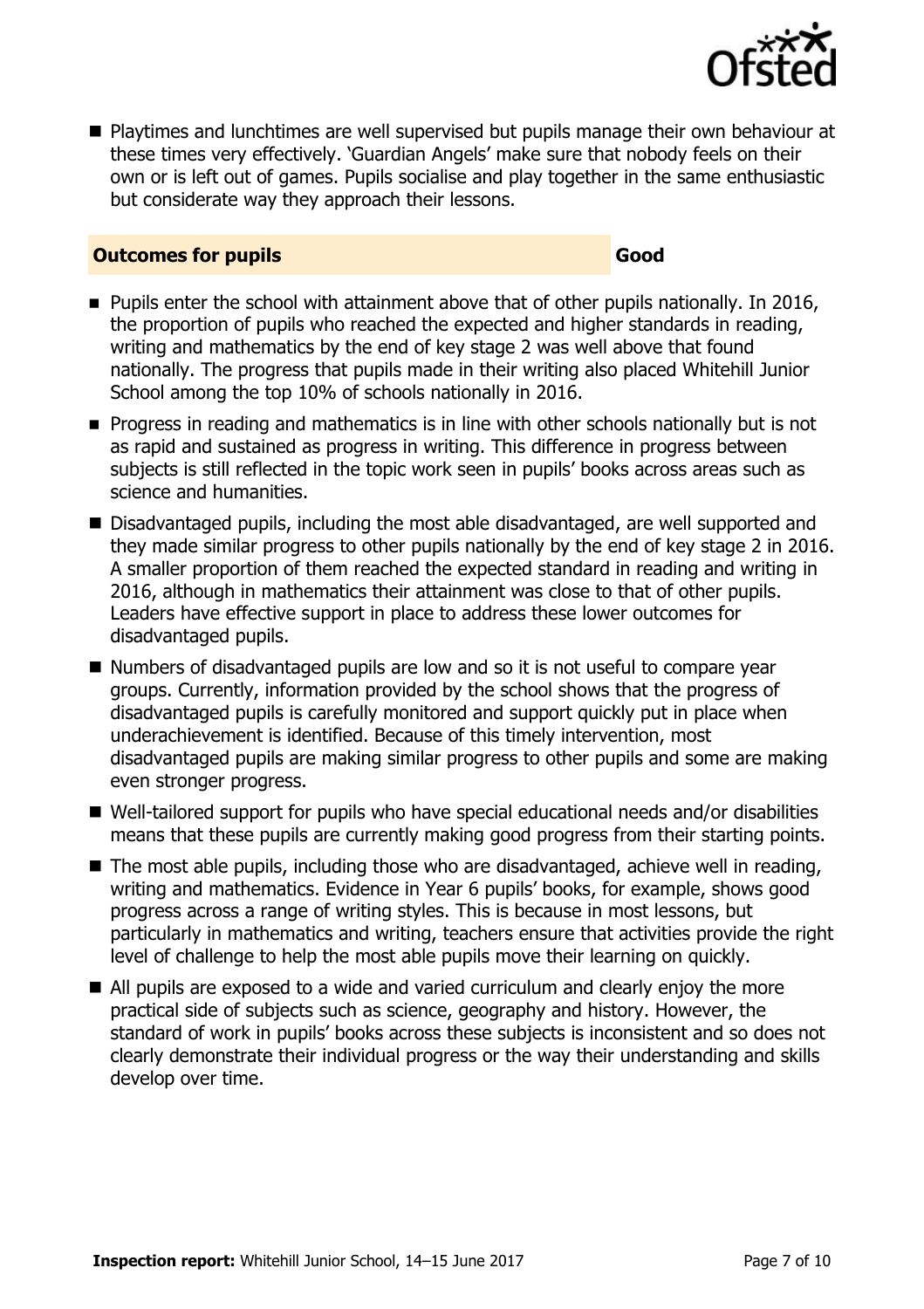

**Playtimes and lunchtimes are well supervised but pupils manage their own behaviour at** these times very effectively. 'Guardian Angels' make sure that nobody feels on their own or is left out of games. Pupils socialise and play together in the same enthusiastic but considerate way they approach their lessons.

#### **Outcomes for pupils Good**

- **Pupils enter the school with attainment above that of other pupils nationally. In 2016,** the proportion of pupils who reached the expected and higher standards in reading, writing and mathematics by the end of key stage 2 was well above that found nationally. The progress that pupils made in their writing also placed Whitehill Junior School among the top 10% of schools nationally in 2016.
- **Progress in reading and mathematics is in line with other schools nationally but is not** as rapid and sustained as progress in writing. This difference in progress between subjects is still reflected in the topic work seen in pupils' books across areas such as science and humanities.
- Disadvantaged pupils, including the most able disadvantaged, are well supported and they made similar progress to other pupils nationally by the end of key stage 2 in 2016. A smaller proportion of them reached the expected standard in reading and writing in 2016, although in mathematics their attainment was close to that of other pupils. Leaders have effective support in place to address these lower outcomes for disadvantaged pupils.
- Numbers of disadvantaged pupils are low and so it is not useful to compare year groups. Currently, information provided by the school shows that the progress of disadvantaged pupils is carefully monitored and support quickly put in place when underachievement is identified. Because of this timely intervention, most disadvantaged pupils are making similar progress to other pupils and some are making even stronger progress.
- Well-tailored support for pupils who have special educational needs and/or disabilities means that these pupils are currently making good progress from their starting points.
- The most able pupils, including those who are disadvantaged, achieve well in reading, writing and mathematics. Evidence in Year 6 pupils' books, for example, shows good progress across a range of writing styles. This is because in most lessons, but particularly in mathematics and writing, teachers ensure that activities provide the right level of challenge to help the most able pupils move their learning on quickly.
- All pupils are exposed to a wide and varied curriculum and clearly enjoy the more practical side of subjects such as science, geography and history. However, the standard of work in pupils' books across these subjects is inconsistent and so does not clearly demonstrate their individual progress or the way their understanding and skills develop over time.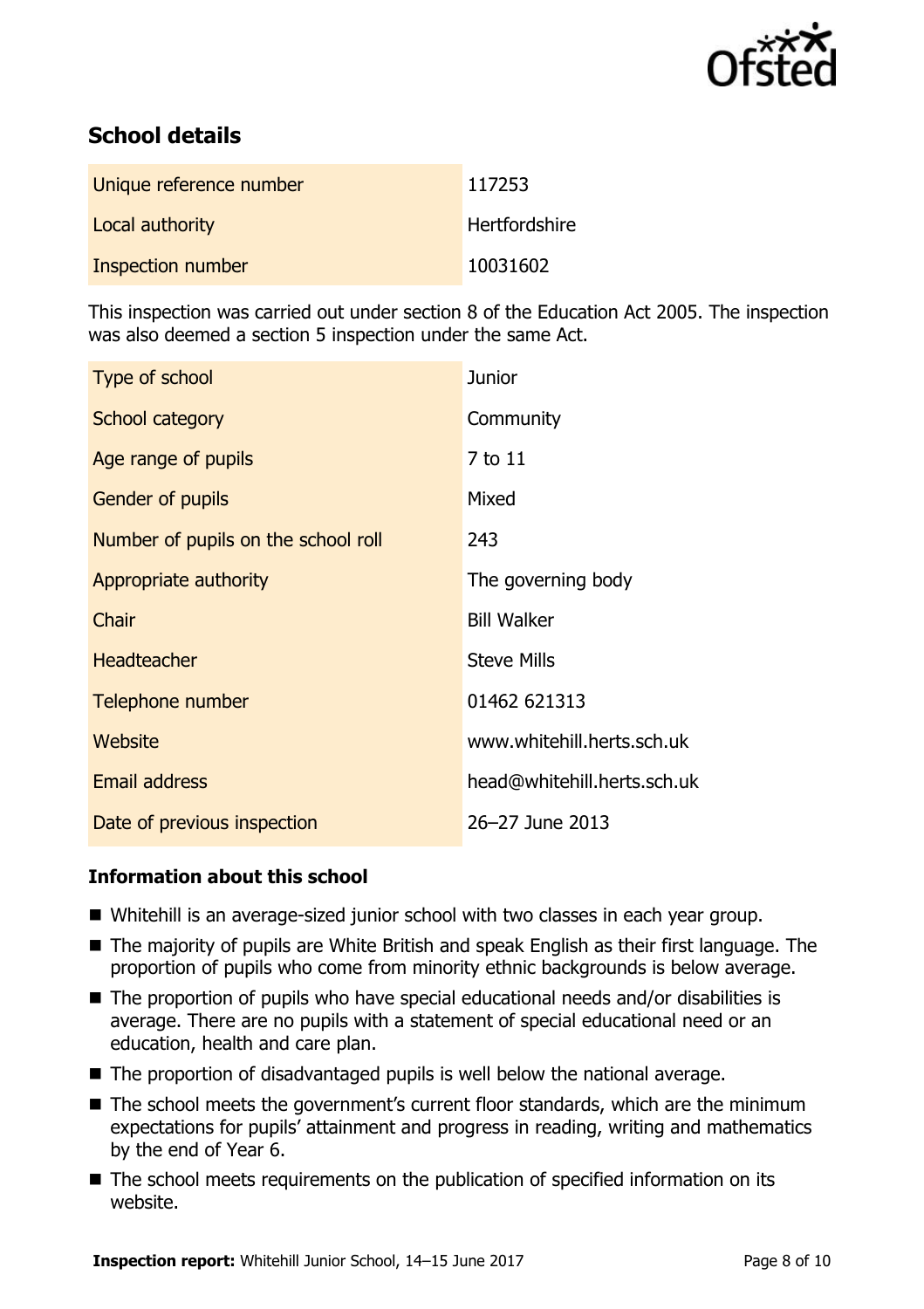

# **School details**

| Unique reference number | 117253               |
|-------------------------|----------------------|
| Local authority         | <b>Hertfordshire</b> |
| Inspection number       | 10031602             |

This inspection was carried out under section 8 of the Education Act 2005. The inspection was also deemed a section 5 inspection under the same Act.

| Type of school                      | <b>Junior</b>               |
|-------------------------------------|-----------------------------|
| School category                     | Community                   |
| Age range of pupils                 | 7 to 11                     |
| <b>Gender of pupils</b>             | Mixed                       |
| Number of pupils on the school roll | 243                         |
| Appropriate authority               | The governing body          |
| Chair                               | <b>Bill Walker</b>          |
| <b>Headteacher</b>                  | <b>Steve Mills</b>          |
| Telephone number                    | 01462 621313                |
| <b>Website</b>                      | www.whitehill.herts.sch.uk  |
| Email address                       | head@whitehill.herts.sch.uk |
| Date of previous inspection         | 26-27 June 2013             |

### **Information about this school**

- Whitehill is an average-sized junior school with two classes in each year group.
- The majority of pupils are White British and speak English as their first language. The proportion of pupils who come from minority ethnic backgrounds is below average.
- The proportion of pupils who have special educational needs and/or disabilities is average. There are no pupils with a statement of special educational need or an education, health and care plan.
- The proportion of disadvantaged pupils is well below the national average.
- The school meets the government's current floor standards, which are the minimum expectations for pupils' attainment and progress in reading, writing and mathematics by the end of Year 6.
- The school meets requirements on the publication of specified information on its website.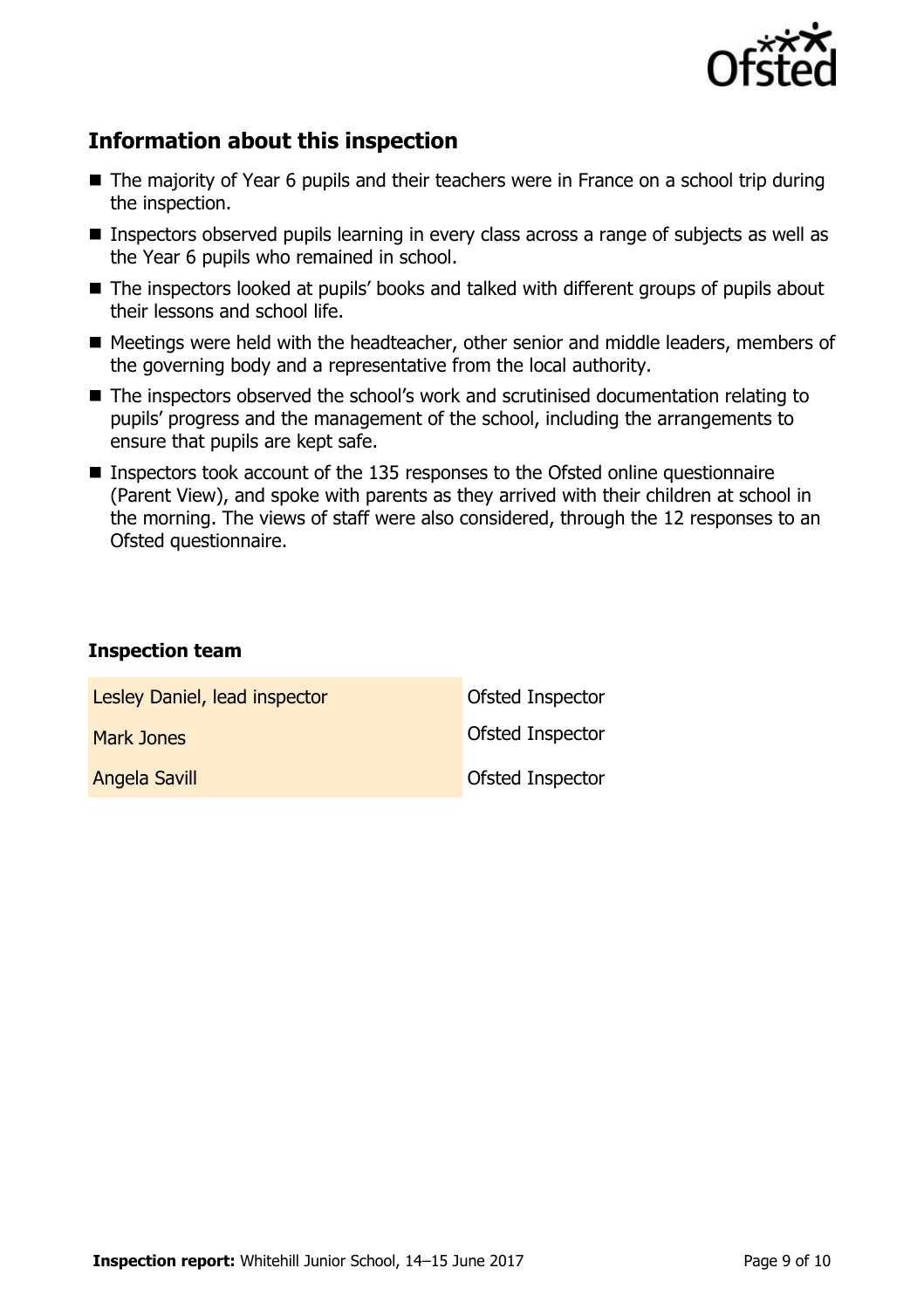

## **Information about this inspection**

- The majority of Year 6 pupils and their teachers were in France on a school trip during the inspection.
- **Inspectors observed pupils learning in every class across a range of subjects as well as** the Year 6 pupils who remained in school.
- The inspectors looked at pupils' books and talked with different groups of pupils about their lessons and school life.
- Meetings were held with the headteacher, other senior and middle leaders, members of the governing body and a representative from the local authority.
- The inspectors observed the school's work and scrutinised documentation relating to pupils' progress and the management of the school, including the arrangements to ensure that pupils are kept safe.
- Inspectors took account of the 135 responses to the Ofsted online questionnaire (Parent View), and spoke with parents as they arrived with their children at school in the morning. The views of staff were also considered, through the 12 responses to an Ofsted questionnaire.

#### **Inspection team**

| Lesley Daniel, lead inspector | Ofsted Inspector |
|-------------------------------|------------------|
| <b>Mark Jones</b>             | Ofsted Inspector |
| <b>Angela Savill</b>          | Ofsted Inspector |